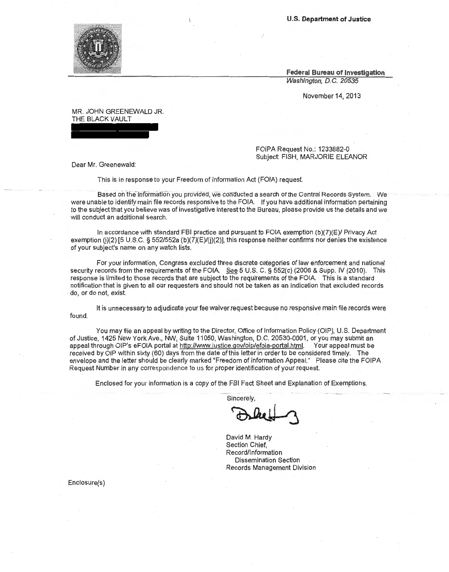**U.S. Department of Justice** 

**Federal Bureau of Investigation**  Washington, D.C. 20535

November 14, 2013

MR. JOHN GREENEWALD JR. THE BLACK VAULT

> FOIPA Request No.: 1233882-0 Subject: FISH, MARJORIE ELEANOR

Dear Mr. Greenewald:

This is in response to your Freedom of Information Act (FOIA) request.

Based on the information you provided, we conducted a search of the Central Records System. We were unable to identify main file records responsive to the FOIA. If you have additional information pertaining to the subject that you believe was of investigative interest to the Bureau, please provide us the details and we will conduct an additional search.

/

In accordance with standard FBI practice and pursuant to FOIA exemption (b)(?)(E)/ Privacy Act exemption (j)(2) [5 U.S.C. § 552/552a (b)(7)(E)/(j)(2)], this response neither confirms nor denies the existence of your subject's name on any watch lists.

For your information, Congress excluded three discrete categories of law enforcement and national security records from the requirements of the FOIA. See 5 U.S. C. § 552(c) (2006 & Supp. IV (2010). This response is limited to those records that are subject to the requirements of the FOIA. This is a standard notification that is given to all our requesters and should not be taken as an indication that excluded records do, or do not, exist.

It is unnecessary to adjudicate your fee waiver request because no responsive main file records were found.

You may file an appeal by writing to the Director, Office of Information Policy (OIP), U.S. Department of Justice, 1425 New York Ave., NW, Suite 11050, Washington, D.C. 20530-0001, or you may submit an appeal through OIP's eFOIA portal at http://www.justice.gov/oip/efoia-portal.html. Your appeal must be received by OIP within sixty (60) days from the date of this letter in order to be considered timely. The envelope and the letter should be clearly marked "Freedom of Information Appeal." Please cite the FOIPA Request Number in any correspondence to us for proper identification of your request.

Enclosed for your information is a copy of the FBI Fact Sheet and Explanation of Exemptions.

**Sincerely** 

incerely,

David M. Hardy Section Chief, Record/Information Dissemination Section Records Management Division

Enclosure(s)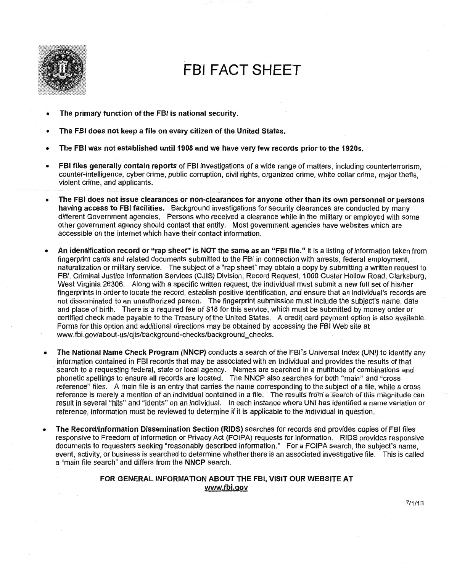

# **FBI FACT SHEET**

- The primary function of the FBI is national security.
- The FBI does not keep a file on every citizen of the United States.
- The FBI was not established until 1908 and we have very few records prior to the 1920s.
- FBI files generally contain reports of FBI investigations of a wide range of matters, including counterterrorism, counter-intelligence, cyber crime, public corruption, civil rights, organized crime, white collar crime, major thefts, violent crime, and applicants.
- The FBI does not issue clearances or non-clearances for anyone other than its own personnel or persons having access to FBI facilities. Background investigations for security clearances are conducted by many different Government agencies. Persons who received a clearance while in the military or employed with some other government agency should contact that entity. Most government agencies have websites which are accessible on the internet which have their contact information.
- An identification record or "rap sheet" is NOT the same as an "FBI file." It is a listing of information taken from fingerprint cards and related documents submitted to the FBI in connection with arrests, federal employment, naturalization or military service. The subject of a "rap sheet" may obtain a copy by submitting a written request to FBI, Criminal Justice Information Services (CJIS) Division, Record Request, 1000 Custer Hollow Road, Clarksburg, West Virginia 26306. Along with a specific written request, the individual must submit a new full set of his/her fingerprints in order to locate the record, establish positive identification, and ensure that an individual's records are not disseminated to an unauthorized person. The fingerprint submission must include the subject's name. date and place of birth. There is a required fee of \$18 for this service, which must be submitted by money order or certified check made payable to the Treasury of the United States. A credit card payment option is also available. Forms for this option and additional directions may be obtained by accessing the FBI Web site at www.fbi.gov/about-us/cjis/background-checks/background\_checks.
- The National Name Check Program (NNCP) conducts a search of the FBI's Universal Index (UNI) to identify any information contained in FBI records that may be associated with an individual and provides the results of that search to a requesting federal, state or local agency. Names are searched in a multitude of combinations and phonetic spellings to ensure all records are located. The NNCP also searches for both "main" and "cross reference" files. A main file is an entry that carries the name corresponding to the subject of a file, while a cross reference is merely a mention of an individual contained in a file. The results from a search of this magnitude can result in several "hits" and "idents" on an individual. In each instance where UNI has identified a name variation or reference, information must be reviewed to determine if it is applicable to the individual in question.
- The Record/Information Dissemination Section (RIDS) searches for records and provides copies of FBI files responsive to Freedom of Information or Privacy Act (FOIPA) requests for information. RIDS provides responsive documents to requesters seeking "reasonably described information." For a FOIPA search, the subject's name, event, activity, or business is searched to determine whether there is an associated investigative file. This is called a "main file search" and differs from the NNCP search.

## FOR GENERAL INFORMATION ABOUT THE FBI, VISIT OUR WEBSITE AT www.fbi.gov

7/1/13